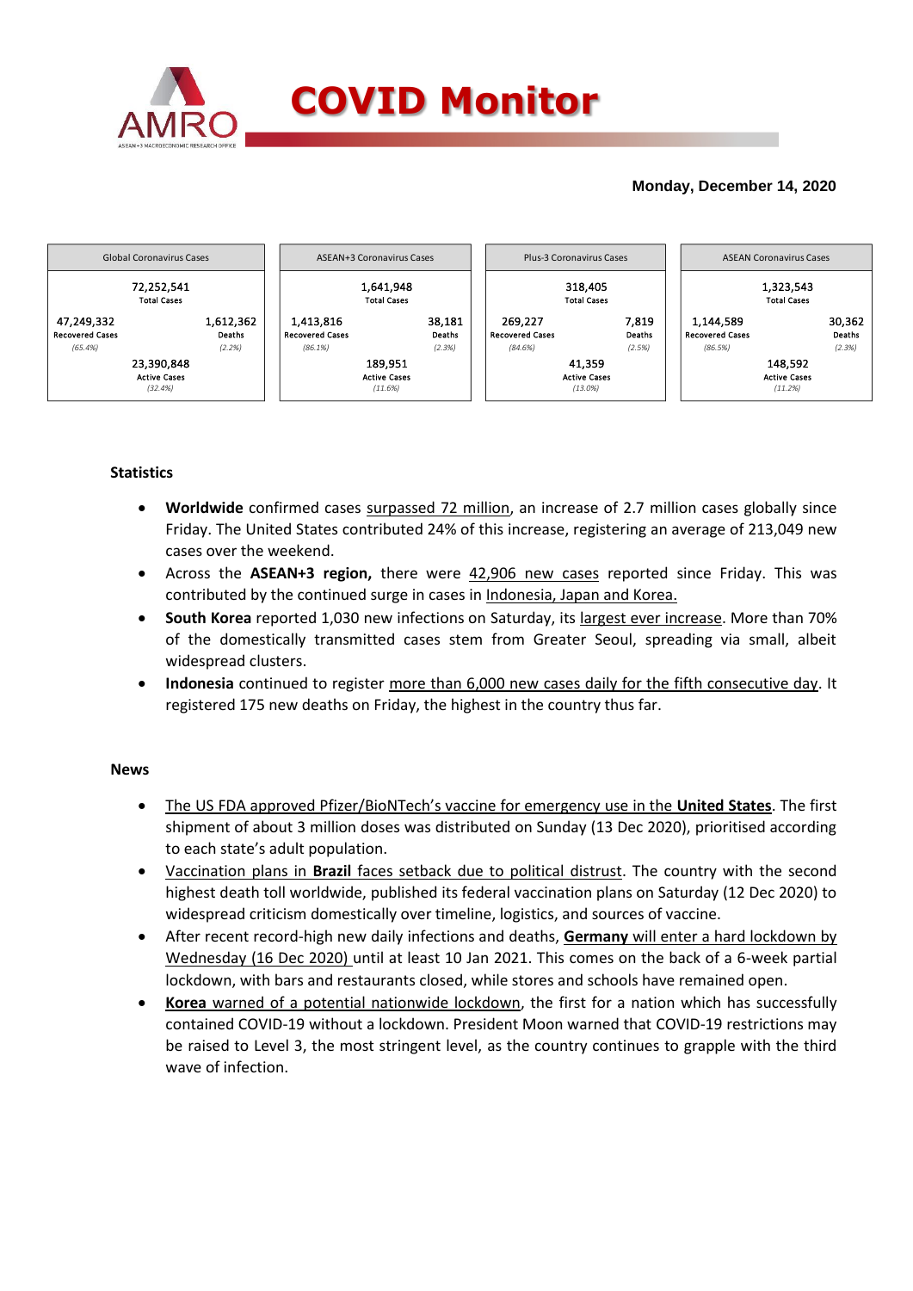

# **Monday, December 14, 2020**



## **Statistics**

- **Worldwide** confirmed cases surpassed 72 million, an increase of 2.7 million cases globally since Friday. The United States contributed 24% of this increase, registering an average of 213,049 new cases over the weekend.
- Across the **ASEAN+3 region,** there were 42,906 new cases reported since Friday. This was contributed by the continued surge in cases in Indonesia, Japan and Korea.
- **South Korea** reported 1,030 new infections on Saturday, its largest ever increase. More than 70% of the domestically transmitted cases stem from Greater Seoul, spreading via small, albeit widespread clusters.
- **Indonesia** continued to register more than 6,000 new cases daily for the fifth consecutive day. It registered 175 new deaths on Friday, the highest in the country thus far.

### **News**

- The US FDA approved Pfizer/BioNTech's vaccine for emergency use in the **United States**. The first shipment of about 3 million doses was distributed on Sunday (13 Dec 2020), prioritised according to each state's adult population.
- Vaccination plans in **Brazil** faces setback due to political distrust. The country with the second highest death toll worldwide, published its federal vaccination plans on Saturday (12 Dec 2020) to widespread criticism domestically over timeline, logistics, and sources of vaccine.
- After recent record-high new daily infections and deaths, **Germany** will enter a hard lockdown by Wednesday (16 Dec 2020) until at least 10 Jan 2021. This comes on the back of a 6-week partial lockdown, with bars and restaurants closed, while stores and schools have remained open.
- **Korea** warned of a potential nationwide lockdown, the first for a nation which has successfully contained COVID-19 without a lockdown. President Moon warned that COVID-19 restrictions may be raised to Level 3, the most stringent level, as the country continues to grapple with the third wave of infection.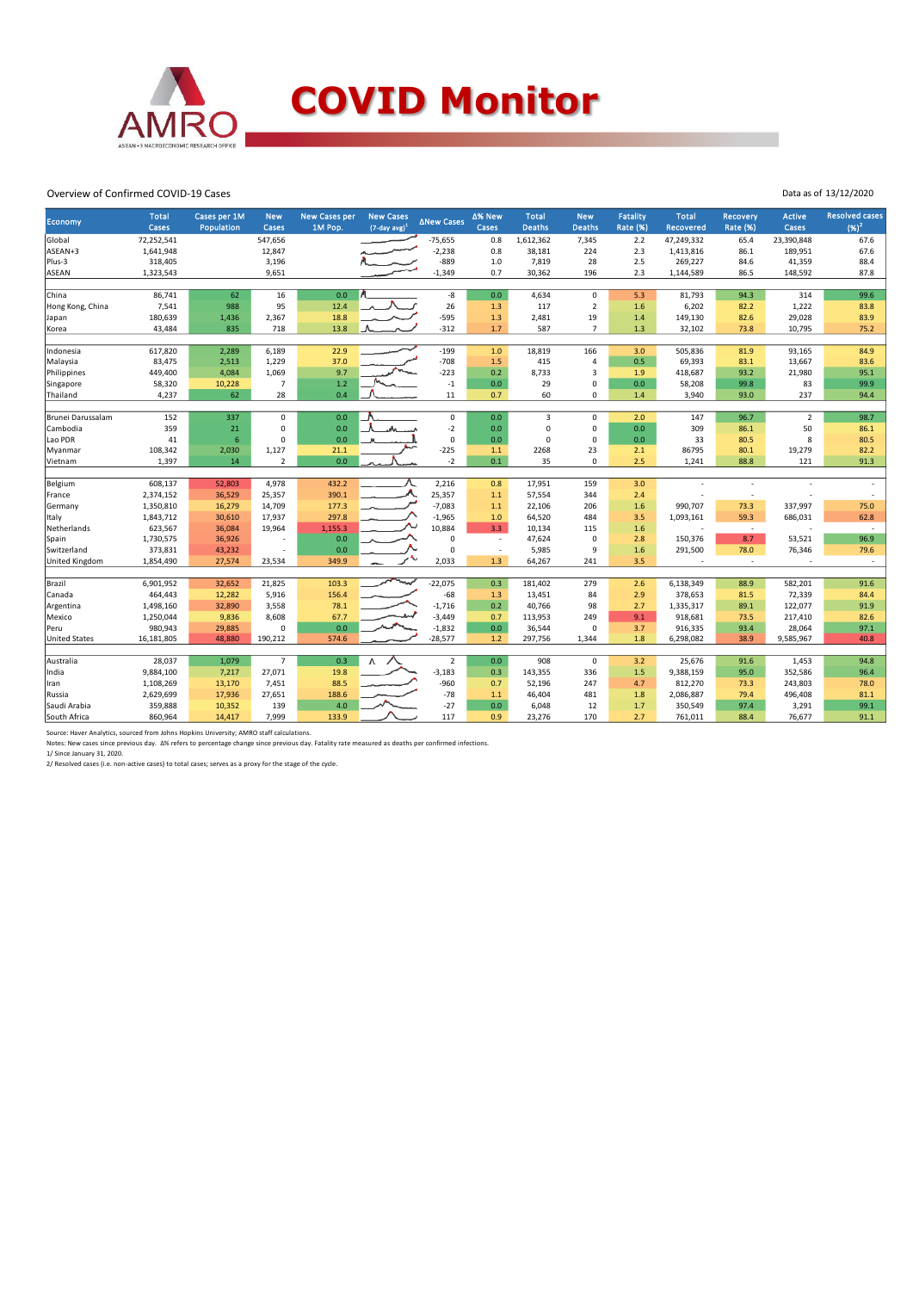

#### Overview of Confirmed COVID-19 Cases

| Economy              | <b>Total</b><br>Cases | Cases per 1M<br>Population | <b>New</b><br>Cases | <b>New Cases per</b><br>1M Pop. | <b>New Cases</b><br>$(7-day \, avg)^3$ | <b>∆New Cases</b>  | ∆% New<br>Cases          | <b>Total</b><br><b>Deaths</b> | <b>New</b><br><b>Deaths</b> | <b>Fatality</b><br><b>Rate (%)</b> | <b>Total</b><br><b>Recovered</b> | Recovery<br><b>Rate (%)</b> | Active<br>Cases | <b>Resolved cases</b><br>$(96)^2$ |
|----------------------|-----------------------|----------------------------|---------------------|---------------------------------|----------------------------------------|--------------------|--------------------------|-------------------------------|-----------------------------|------------------------------------|----------------------------------|-----------------------------|-----------------|-----------------------------------|
| Global               | 72,252,541            |                            | 547,656             |                                 |                                        | $-75,655$          | 0.8                      | 1,612,362                     | 7,345                       | 2.2                                | 47,249,332                       | 65.4                        | 23,390,848      | 67.6                              |
| ASEAN+3              | 1,641,948             |                            | 12,847              |                                 |                                        | $-2,238$           | 0.8                      | 38,181                        | 224                         | 2.3                                | 1,413,816                        | 86.1                        | 189,951         | 67.6                              |
| Plus-3               | 318,405               |                            | 3,196               |                                 |                                        | $-889$             | 1.0                      | 7,819                         | 28                          | 2.5                                | 269,227                          | 84.6                        | 41,359          | 88.4                              |
| <b>ASEAN</b>         | 1,323,543             |                            | 9,651               |                                 |                                        | $-1,349$           | 0.7                      | 30,362                        | 196                         | 2.3                                | 1,144,589                        | 86.5                        | 148,592         | 87.8                              |
|                      |                       |                            |                     |                                 |                                        |                    |                          |                               |                             |                                    |                                  |                             |                 |                                   |
| China                | 86,741                | 62                         | 16                  | 0.0                             |                                        | -8                 | 0.0                      | 4,634                         | $\mathbf 0$                 | 5.3                                | 81,793                           | 94.3                        | 314             | 99.6                              |
| Hong Kong, China     | 7,541                 | 988                        | 95                  | 12.4                            |                                        | 26                 | 1.3                      | 117                           | $\overline{2}$              | 1.6                                | 6,202                            | 82.2                        | 1,222           | 83.8                              |
| Japan                | 180,639               | 1,436                      | 2,367               | 18.8                            |                                        | $-595$             | 1.3                      | 2,481                         | 19                          | 1.4                                | 149,130                          | 82.6                        | 29,028          | 83.9                              |
| Korea                | 43,484                | 835                        | 718                 | 13.8                            |                                        | $-312$             | 1.7                      | 587                           | $\overline{7}$              | 1.3                                | 32,102                           | 73.8                        | 10,795          | 75.2                              |
|                      |                       |                            |                     |                                 |                                        |                    |                          |                               |                             |                                    |                                  |                             |                 |                                   |
| Indonesia            | 617,820               | 2,289                      | 6,189               | 22.9                            |                                        | $-199$             | 1.0                      | 18,819                        | 166                         | 3.0                                | 505,836                          | 81.9                        | 93,165          | 84.9                              |
| Malaysia             | 83,475                | 2,513                      | 1,229               | 37.0                            |                                        | $-708$             | 1.5                      | 415                           | 4                           | 0.5                                | 69,393                           | 83.1                        | 13,667          | 83.6                              |
| Philippines          | 449,400               | 4,084                      | 1,069               | 9.7                             |                                        | $-223$             | 0.2                      | 8,733                         | $\overline{3}$              | 1.9                                | 418,687                          | 93.2                        | 21,980          | 95.1                              |
| Singapore            | 58,320                | 10,228                     | $\overline{7}$      | 1.2                             |                                        | $^{\rm -1}$        | $0.0\,$                  | 29                            | $\mathbf 0$                 | 0.0                                | 58,208                           | 99.8                        | 83              | 99.9                              |
| Thailand             | 4,237                 | 62                         | 28                  | 0.4                             |                                        | $11\,$             | 0.7                      | 60                            | 0                           | 1.4                                | 3,940                            | 93.0                        | 237             | 94.4                              |
|                      |                       |                            |                     |                                 |                                        |                    |                          |                               |                             |                                    |                                  |                             |                 |                                   |
| Brunei Darussalam    | 152                   | 337                        | 0                   | 0.0                             |                                        | 0                  | 0.0                      | 3                             | 0                           | 2.0                                | 147                              | 96.7                        | $\overline{2}$  | 98.7                              |
| Cambodia             | 359                   | 21                         | 0                   | 0.0                             |                                        | $-2$               | 0.0                      | $\mathbf 0$                   | 0                           | 0.0                                | 309                              | 86.1                        | 50              | 86.1                              |
| Lao PDR              | 41                    | $\sqrt{6}$                 | $\Omega$            | 0.0                             |                                        | $\mathbf 0$        | $0.0\,$                  | $\mathbf 0$                   | $\mathbf 0$                 | 0.0                                | 33                               | 80.5                        | 8               | 80.5                              |
| Myanmar              | 108,342               | 2,030                      | 1,127               | 21.1                            |                                        | $-225$             | 1.1                      | 2268                          | 23                          | 2.1                                | 86795                            | 80.1                        | 19,279          | 82.2                              |
| Vietnam              | 1,397                 | 14                         | $\overline{2}$      | 0.0                             |                                        | $-2$               | 0.1                      | 35                            | $\mathbf 0$                 | 2.5                                | 1,241                            | 88.8                        | 121             | 91.3                              |
| Belgium              | 608,137               | 52,803                     | 4,978               | 432.2                           |                                        | 2,216              | 0.8                      | 17,951                        | 159                         | 3.0                                |                                  |                             |                 |                                   |
|                      | 2,374,152             | 36,529                     | 25,357              | 390.1                           |                                        | 25,357             | $1.1$                    | 57,554                        | 344                         | 2.4                                |                                  |                             |                 |                                   |
| France               | 1,350,810             |                            | 14,709              | 177.3                           |                                        | $-7,083$           | 1.1                      | 22,106                        | 206                         | 1.6                                | 990,707                          | 73.3                        | 337,997         | 75.0                              |
| Germany              |                       | 16,279                     |                     | 297.8                           |                                        |                    |                          |                               |                             |                                    |                                  |                             |                 |                                   |
| Italy                | 1,843,712             | 30,610                     | 17,937              |                                 |                                        | $-1,965$<br>10,884 | $1.0$                    | 64,520                        | 484                         | 3.5                                | 1,093,161<br>÷                   | 59.3<br>$\sim$              | 686,031         | 62.8<br>$\sim$                    |
| Netherlands          | 623,567               | 36,084                     | 19,964              | 1,155.3                         |                                        | $\mathbf 0$        | 3.3                      | 10,134                        | 115<br>$\Omega$             | 1.6                                |                                  | 8.7                         | 53,521          | 96.9                              |
| Spain                | 1,730,575             | 36,926                     |                     | 0.0                             |                                        |                    | $\overline{\phantom{a}}$ | 47,624                        |                             | 2.8                                | 150,376                          |                             |                 |                                   |
| Switzerland          | 373,831               | 43,232                     |                     | 0.0                             |                                        | $\mathbf 0$        | $\overline{\phantom{a}}$ | 5,985                         | 9                           | 1.6                                | 291,500                          | 78.0                        | 76,346          | 79.6                              |
| United Kingdom       | 1,854,490             | 27,574                     | 23,534              | 349.9                           |                                        | 2,033              | 1.3                      | 64,267                        | 241                         | 3.5                                |                                  | $\overline{\phantom{a}}$    |                 | $\overline{\phantom{a}}$          |
| Brazil               | 6,901,952             | 32,652                     | 21,825              | 103.3                           | mw                                     | $-22,075$          | 0.3                      | 181,402                       | 279                         | 2.6                                | 6,138,349                        | 88.9                        | 582,201         | 91.6                              |
| Canada               | 464,443               | 12,282                     | 5,916               | 156.4                           |                                        | $-68$              | 1.3                      | 13,451                        | 84                          | 2.9                                | 378,653                          | 81.5                        | 72,339          | 84.4                              |
| Argentina            | 1,498,160             | 32,890                     | 3,558               | 78.1                            |                                        | $-1,716$           | 0.2                      | 40,766                        | 98                          | 2.7                                | 1,335,317                        | 89.1                        | 122,077         | 91.9                              |
| Mexico               | 1,250,044             | 9,836                      | 8,608               | 67.7                            |                                        | $-3,449$           | 0.7                      | 113,953                       | 249                         | 9.1                                | 918,681                          | 73.5                        | 217,410         | 82.6                              |
| Peru                 | 980,943               | 29,885                     | $\mathbf 0$         | 0.0                             |                                        | $-1,832$           | 0.0                      | 36,544                        | 0                           | 3.7                                | 916,335                          | 93.4                        | 28,064          | 97.1                              |
| <b>United States</b> | 16,181,805            | 48,880                     | 190,212             | 574.6                           |                                        | $-28,577$          | $1.2\,$                  | 297,756                       | 1,344                       | 1.8                                | 6,298,082                        | 38.9                        | 9,585,967       | 40.8                              |
|                      |                       |                            |                     |                                 |                                        |                    |                          |                               |                             |                                    |                                  |                             |                 |                                   |
| Australia            | 28,037                | 1,079                      | $\overline{7}$      | 0.3                             |                                        | $\overline{2}$     | 0.0                      | 908                           | $\mathbf 0$                 | 3.2                                | 25,676                           | 91.6                        | 1,453           | 94.8                              |
| India                | 9,884,100             | 7,217                      | 27,071              | 19.8                            |                                        | $-3,183$           | 0.3                      | 143,355                       | 336                         | 1.5                                | 9,388,159                        | 95.0                        | 352,586         | 96.4                              |
| Iran                 | 1,108,269             | 13,170                     | 7,451               | 88.5                            |                                        | $-960$             | 0.7                      | 52,196                        | 247                         | 4.7                                | 812,270                          | 73.3                        | 243,803         | 78.0                              |
| Russia               | 2,629,699             | 17,936                     | 27,651              | 188.6                           |                                        | $-78$              | 1.1                      | 46,404                        | 481                         | 1.8                                | 2,086,887                        | 79.4                        | 496,408         | 81.1                              |
| Saudi Arabia         | 359,888               | 10,352                     | 139                 | 4.0                             |                                        | $-27$              | $0.0\,$                  | 6,048                         | 12                          | 1.7                                | 350,549                          | 97.4                        | 3,291           | 99.1                              |
| South Africa         | 860,964               | 14,417                     | 7,999               | 133.9                           |                                        | 117                | 0.9                      | 23,276                        | 170                         | 2.7                                | 761,011                          | 88.4                        | 76,677          | 91.1                              |
|                      |                       |                            |                     |                                 |                                        |                    |                          |                               |                             |                                    |                                  |                             |                 |                                   |

Source: Haver Analytics, sourced from Johns Hopkins University; AMRO staff calculations.<br>Notes: New cases since previous day. ∆% refers to percentage change since previous day. Fatality rate measured as deaths per confirme

Data as of 13/12/2020